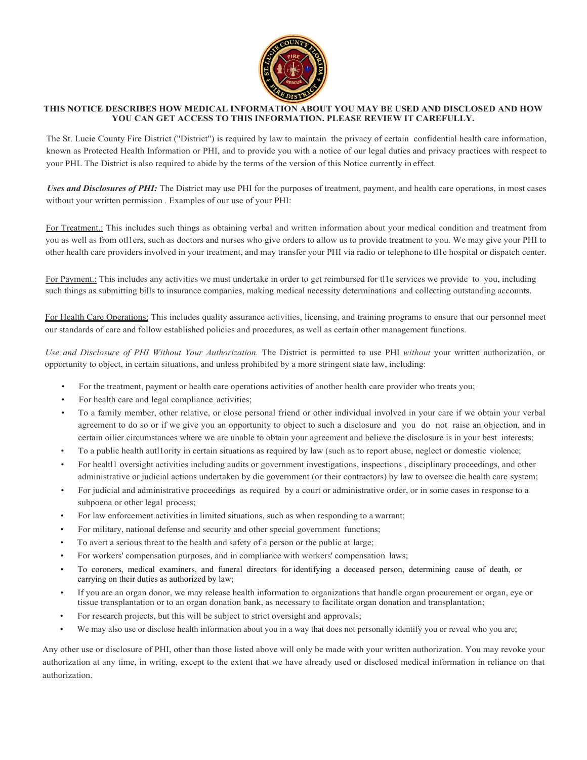

## **THIS NOTICE DESCRIBES HOW MEDICAL INFORMATION ABOUT YOU MAY BE USED AND DISCLOSED AND HOW YOU CAN GET ACCESS TO THIS INFORMATION. PLEASE REVIEW IT CAREFULLY.**

The St. Lucie County Fire District ("District") is required by law to maintain the privacy of certain confidential health care information, known as Protected Health Information or PHI, and to provide you with a notice of our legal duties and privacy practices with respect to your PHL The District is also required to abide by the terms of the version of this Notice currently in effect.

*Uses and Disclosures of PHI:* The District may use PHI for the purposes of treatment, payment, and health care operations, in most cases without your written permission . Examples of our use of your PHI:

For Treatment.: This includes such things as obtaining verbal and written information about your medical condition and treatment from you as well as from otl1ers, such as doctors and nurses who give orders to allow us to provide treatment to you. We may give your PHI to other health care providers involved in your treatment, and may transfer your PHI via radio or telephone to tl1e hospital or dispatch center.

For Payment.: This includes any activities we must undertake in order to get reimbursed for tl1e services we provide to you, including such things as submitting bills to insurance companies, making medical necessity determinations and collecting outstanding accounts.

For Health Care Operations: This includes quality assurance activities, licensing, and training programs to ensure that our personnel meet our standards of care and follow established policies and procedures, as well as certain other management functions.

*Use and Disclosure of PHI Without Your Authorization.* The District is permitted to use PHI *without* your written authorization, or opportunity to object, in certain situations, and unless prohibited by a more stringent state law, including:

- For the treatment, payment or health care operations activities of another health care provider who treats you;
- For health care and legal compliance activities;
- To a family member, other relative, or close personal friend or other individual involved in your care if we obtain your verbal agreement to do so or if we give you an opportunity to object to such a disclosure and you do not raise an objection, and in certain oilier circumstances where we are unable to obtain your agreement and believe the disclosure is in your best interests;
- To a public health autl1ority in certain situations as required by law (such as to report abuse, neglect or domestic violence;
- For healtl1 oversight activities including audits or government investigations, inspections , disciplinary proceedings, and other administrative or judicial actions undertaken by die government (or their contractors) by law to oversee die health care system;
- For judicial and administrative proceedings as required by a court or administrative order, or in some cases in response to a subpoena or other legal process;
- For law enforcement activities in limited situations, such as when responding to a warrant;
- For military, national defense and security and other special government functions;
- To avert a serious threat to the health and safety of a person or the public at large;
- For workers' compensation purposes, and in compliance with workers' compensation laws;
- To coroners, medical examiners, and funeral directors for identifying a deceased person, determining cause of death, or carrying on their duties as authorized by law;
- If you are an organ donor, we may release health information to organizations that handle organ procurement or organ, eye or tissue transplantation or to an organ donation bank, as necessary to facilitate organ donation and transplantation;
- For research projects, but this will be subject to strict oversight and approvals;
- We may also use or disclose health information about you in a way that does not personally identify you or reveal who you are;

Any other use or disclosure of PHI, other than those listed above will only be made with your written authorization. You may revoke your authorization at any time, in writing, except to the extent that we have already used or disclosed medical information in reliance on that authorization.